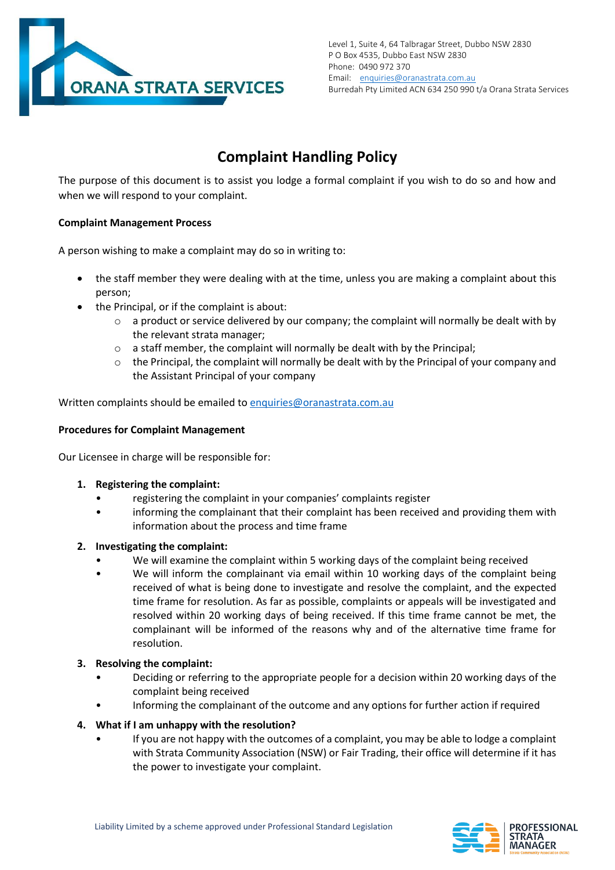

# **Complaint Handling Policy**

The purpose of this document is to assist you lodge a formal complaint if you wish to do so and how and when we will respond to your complaint.

# **Complaint Management Process**

A person wishing to make a complaint may do so in writing to:

- the staff member they were dealing with at the time, unless you are making a complaint about this person;
- the Principal, or if the complaint is about:
	- $\circ$  a product or service delivered by our company; the complaint will normally be dealt with by the relevant strata manager;
	- o a staff member, the complaint will normally be dealt with by the Principal;
	- $\circ$  the Principal, the complaint will normally be dealt with by the Principal of your company and the Assistant Principal of your company

Written complaints should be emailed to enquiries@oranastrata.com.au

# **Procedures for Complaint Management**

Our Licensee in charge will be responsible for:

- **1. Registering the complaint:**
	- registering the complaint in your companies' complaints register
	- informing the complainant that their complaint has been received and providing them with information about the process and time frame

# **2. Investigating the complaint:**

- We will examine the complaint within 5 working days of the complaint being received
- We will inform the complainant via email within 10 working days of the complaint being received of what is being done to investigate and resolve the complaint, and the expected time frame for resolution. As far as possible, complaints or appeals will be investigated and resolved within 20 working days of being received. If this time frame cannot be met, the complainant will be informed of the reasons why and of the alternative time frame for resolution.

#### **3. Resolving the complaint:**

- Deciding or referring to the appropriate people for a decision within 20 working days of the complaint being received
- Informing the complainant of the outcome and any options for further action if required

#### **4. What if I am unhappy with the resolution?**

• If you are not happy with the outcomes of a complaint, you may be able to lodge a complaint with Strata Community Association (NSW) or Fair Trading, their office will determine if it has the power to investigate your complaint.